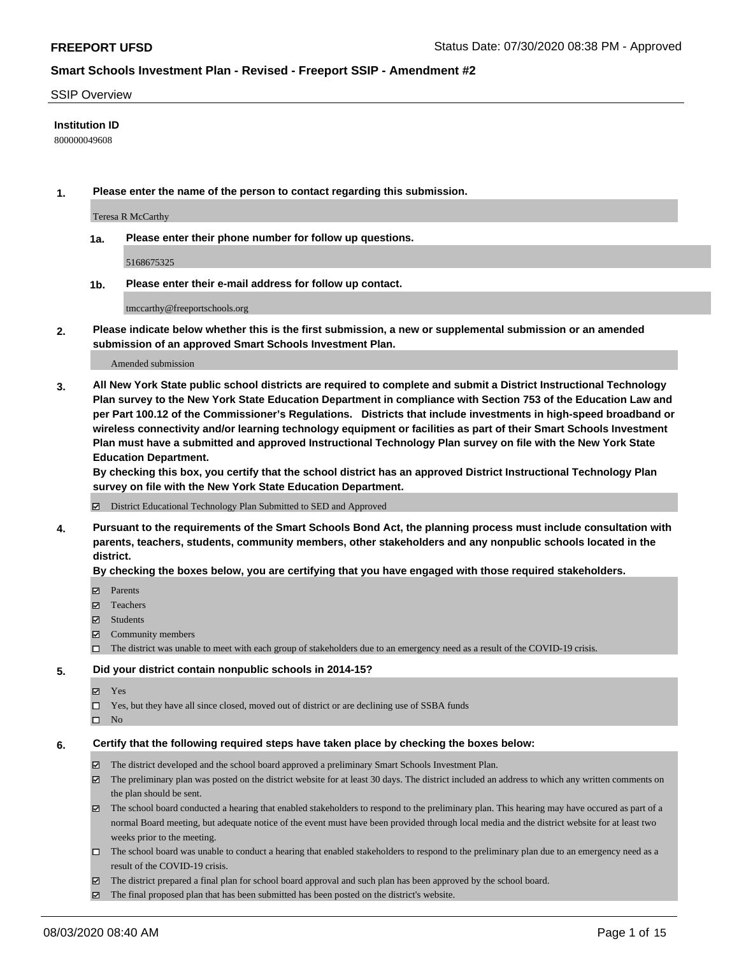#### SSIP Overview

#### **Institution ID**

800000049608

**1. Please enter the name of the person to contact regarding this submission.**

Teresa R McCarthy

**1a. Please enter their phone number for follow up questions.**

5168675325

**1b. Please enter their e-mail address for follow up contact.**

tmccarthy@freeportschools.org

**2. Please indicate below whether this is the first submission, a new or supplemental submission or an amended submission of an approved Smart Schools Investment Plan.**

#### Amended submission

**3. All New York State public school districts are required to complete and submit a District Instructional Technology Plan survey to the New York State Education Department in compliance with Section 753 of the Education Law and per Part 100.12 of the Commissioner's Regulations. Districts that include investments in high-speed broadband or wireless connectivity and/or learning technology equipment or facilities as part of their Smart Schools Investment Plan must have a submitted and approved Instructional Technology Plan survey on file with the New York State Education Department.** 

**By checking this box, you certify that the school district has an approved District Instructional Technology Plan survey on file with the New York State Education Department.**

District Educational Technology Plan Submitted to SED and Approved

**4. Pursuant to the requirements of the Smart Schools Bond Act, the planning process must include consultation with parents, teachers, students, community members, other stakeholders and any nonpublic schools located in the district.** 

#### **By checking the boxes below, you are certifying that you have engaged with those required stakeholders.**

- **Parents**
- Teachers
- Students
- $\boxtimes$  Community members
- The district was unable to meet with each group of stakeholders due to an emergency need as a result of the COVID-19 crisis.

#### **5. Did your district contain nonpublic schools in 2014-15?**

- **冈** Yes
- Yes, but they have all since closed, moved out of district or are declining use of SSBA funds
- $\square$  No

#### **6. Certify that the following required steps have taken place by checking the boxes below:**

- The district developed and the school board approved a preliminary Smart Schools Investment Plan.
- $\boxtimes$  The preliminary plan was posted on the district website for at least 30 days. The district included an address to which any written comments on the plan should be sent.
- The school board conducted a hearing that enabled stakeholders to respond to the preliminary plan. This hearing may have occured as part of a normal Board meeting, but adequate notice of the event must have been provided through local media and the district website for at least two weeks prior to the meeting.
- The school board was unable to conduct a hearing that enabled stakeholders to respond to the preliminary plan due to an emergency need as a result of the COVID-19 crisis.
- The district prepared a final plan for school board approval and such plan has been approved by the school board.
- $\boxtimes$  The final proposed plan that has been submitted has been posted on the district's website.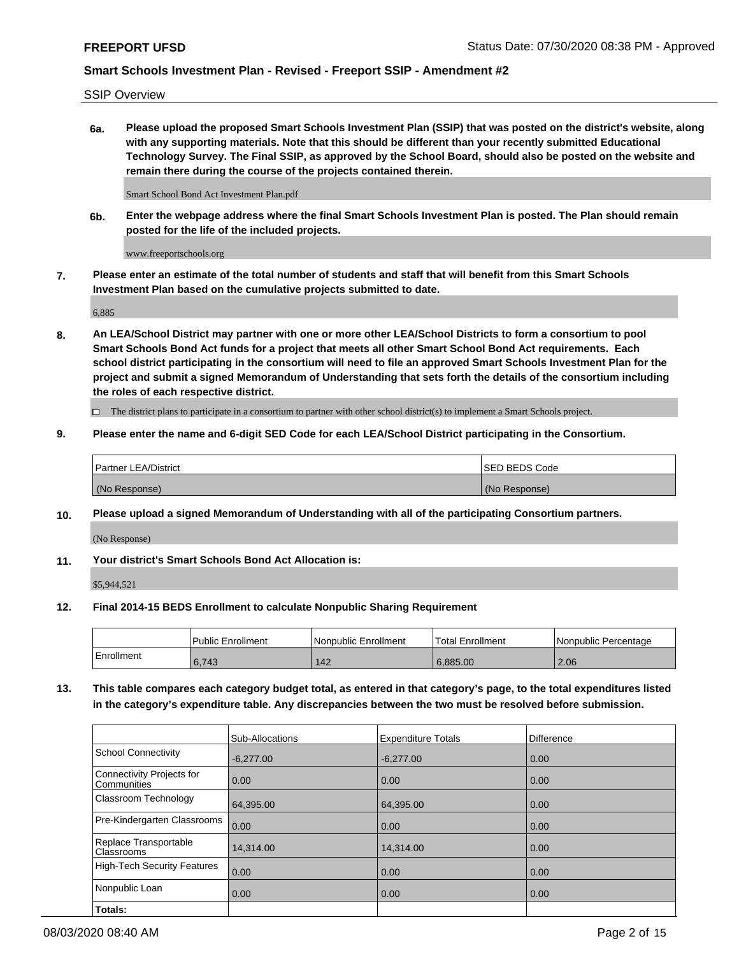SSIP Overview

**6a. Please upload the proposed Smart Schools Investment Plan (SSIP) that was posted on the district's website, along with any supporting materials. Note that this should be different than your recently submitted Educational Technology Survey. The Final SSIP, as approved by the School Board, should also be posted on the website and remain there during the course of the projects contained therein.**

Smart School Bond Act Investment Plan.pdf

**6b. Enter the webpage address where the final Smart Schools Investment Plan is posted. The Plan should remain posted for the life of the included projects.**

www.freeportschools.org

**7. Please enter an estimate of the total number of students and staff that will benefit from this Smart Schools Investment Plan based on the cumulative projects submitted to date.**

6,885

**8. An LEA/School District may partner with one or more other LEA/School Districts to form a consortium to pool Smart Schools Bond Act funds for a project that meets all other Smart School Bond Act requirements. Each school district participating in the consortium will need to file an approved Smart Schools Investment Plan for the project and submit a signed Memorandum of Understanding that sets forth the details of the consortium including the roles of each respective district.**

 $\Box$  The district plans to participate in a consortium to partner with other school district(s) to implement a Smart Schools project.

### **9. Please enter the name and 6-digit SED Code for each LEA/School District participating in the Consortium.**

| Partner LEA/District | ISED BEDS Code |
|----------------------|----------------|
| (No Response)        | (No Response)  |

### **10. Please upload a signed Memorandum of Understanding with all of the participating Consortium partners.**

(No Response)

**11. Your district's Smart Schools Bond Act Allocation is:**

\$5,944,521

### **12. Final 2014-15 BEDS Enrollment to calculate Nonpublic Sharing Requirement**

|            | Public Enrollment | Nonpublic Enrollment | Total Enrollment | Nonpublic Percentage |
|------------|-------------------|----------------------|------------------|----------------------|
| Enrollment | 6.743             | 142                  | 6.885.00         | 2.06                 |

**13. This table compares each category budget total, as entered in that category's page, to the total expenditures listed in the category's expenditure table. Any discrepancies between the two must be resolved before submission.**

|                                          | Sub-Allocations | <b>Expenditure Totals</b> | <b>Difference</b> |
|------------------------------------------|-----------------|---------------------------|-------------------|
| <b>School Connectivity</b>               | $-6,277.00$     | $-6,277.00$               | 0.00              |
| Connectivity Projects for<br>Communities | 0.00            | 0.00                      | 0.00              |
| Classroom Technology                     | 64,395.00       | 64,395.00                 | 0.00              |
| Pre-Kindergarten Classrooms              | 0.00            | 0.00                      | 0.00              |
| Replace Transportable<br>Classrooms      | 14.314.00       | 14.314.00                 | 0.00              |
| <b>High-Tech Security Features</b>       | 0.00            | 0.00                      | 0.00              |
| Nonpublic Loan                           | 0.00            | 0.00                      | 0.00              |
| Totals:                                  |                 |                           |                   |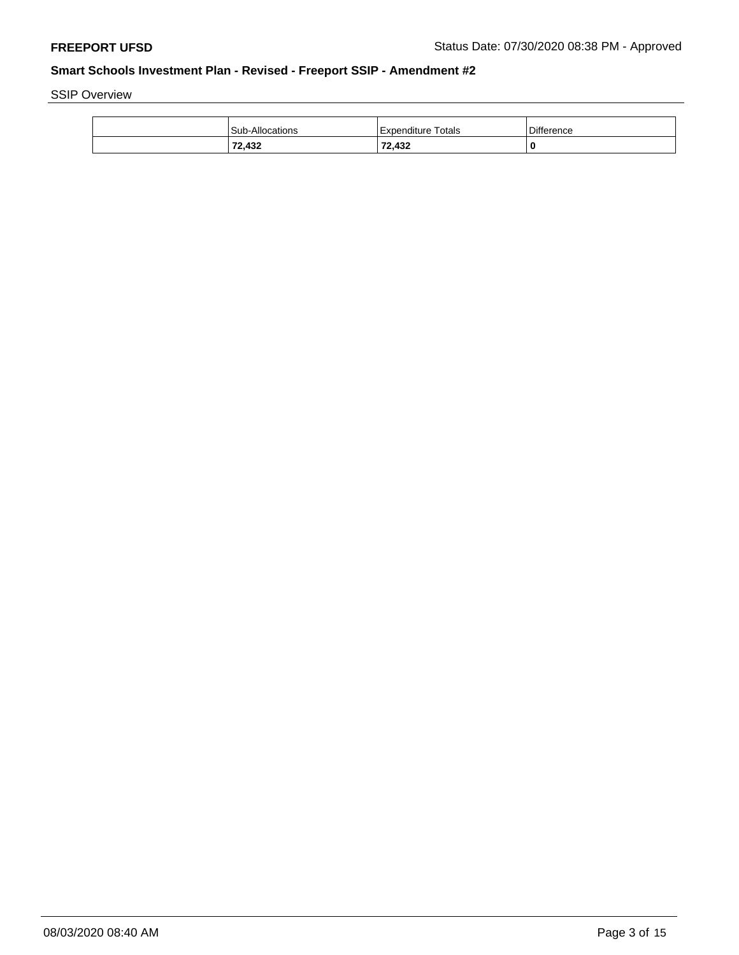SSIP Overview

| <b>Sub-Allocations</b> | Expenditure Totals | Difference |
|------------------------|--------------------|------------|
| 72,432                 | 72,432             | 0          |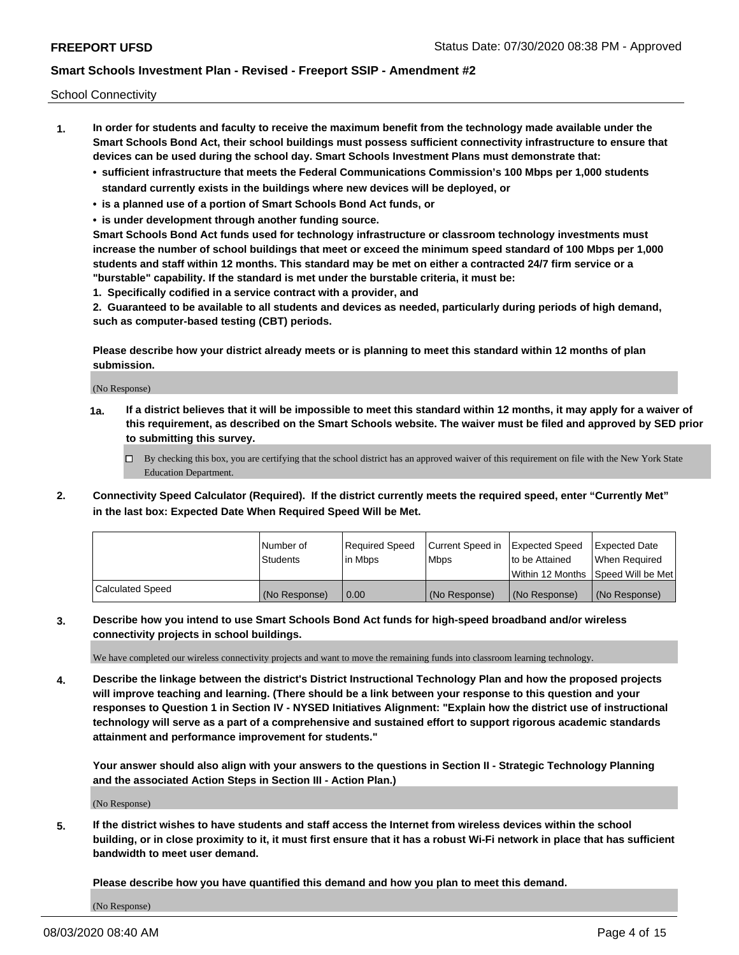School Connectivity

- **1. In order for students and faculty to receive the maximum benefit from the technology made available under the Smart Schools Bond Act, their school buildings must possess sufficient connectivity infrastructure to ensure that devices can be used during the school day. Smart Schools Investment Plans must demonstrate that:**
	- **• sufficient infrastructure that meets the Federal Communications Commission's 100 Mbps per 1,000 students standard currently exists in the buildings where new devices will be deployed, or**
	- **• is a planned use of a portion of Smart Schools Bond Act funds, or**
	- **• is under development through another funding source.**

**Smart Schools Bond Act funds used for technology infrastructure or classroom technology investments must increase the number of school buildings that meet or exceed the minimum speed standard of 100 Mbps per 1,000 students and staff within 12 months. This standard may be met on either a contracted 24/7 firm service or a "burstable" capability. If the standard is met under the burstable criteria, it must be:**

**1. Specifically codified in a service contract with a provider, and**

**2. Guaranteed to be available to all students and devices as needed, particularly during periods of high demand, such as computer-based testing (CBT) periods.**

**Please describe how your district already meets or is planning to meet this standard within 12 months of plan submission.**

(No Response)

**1a. If a district believes that it will be impossible to meet this standard within 12 months, it may apply for a waiver of this requirement, as described on the Smart Schools website. The waiver must be filed and approved by SED prior to submitting this survey.**

 $\Box$  By checking this box, you are certifying that the school district has an approved waiver of this requirement on file with the New York State Education Department.

**2. Connectivity Speed Calculator (Required). If the district currently meets the required speed, enter "Currently Met" in the last box: Expected Date When Required Speed Will be Met.**

|                  | l Number of     | Reauired Speed | Current Speed in | <b>Expected Speed</b> | Expected Date                        |
|------------------|-----------------|----------------|------------------|-----------------------|--------------------------------------|
|                  | <b>Students</b> | l in Mbps      | l Mbps           | to be Attained        | When Required                        |
|                  |                 |                |                  |                       | Within 12 Months   Speed Will be Met |
| Calculated Speed | (No Response)   | 0.00           | (No Response)    | (No Response)         | (No Response)                        |

**3. Describe how you intend to use Smart Schools Bond Act funds for high-speed broadband and/or wireless connectivity projects in school buildings.**

We have completed our wireless connectivity projects and want to move the remaining funds into classroom learning technology.

**4. Describe the linkage between the district's District Instructional Technology Plan and how the proposed projects will improve teaching and learning. (There should be a link between your response to this question and your responses to Question 1 in Section IV - NYSED Initiatives Alignment: "Explain how the district use of instructional technology will serve as a part of a comprehensive and sustained effort to support rigorous academic standards attainment and performance improvement for students."** 

**Your answer should also align with your answers to the questions in Section II - Strategic Technology Planning and the associated Action Steps in Section III - Action Plan.)**

(No Response)

**5. If the district wishes to have students and staff access the Internet from wireless devices within the school building, or in close proximity to it, it must first ensure that it has a robust Wi-Fi network in place that has sufficient bandwidth to meet user demand.**

**Please describe how you have quantified this demand and how you plan to meet this demand.**

(No Response)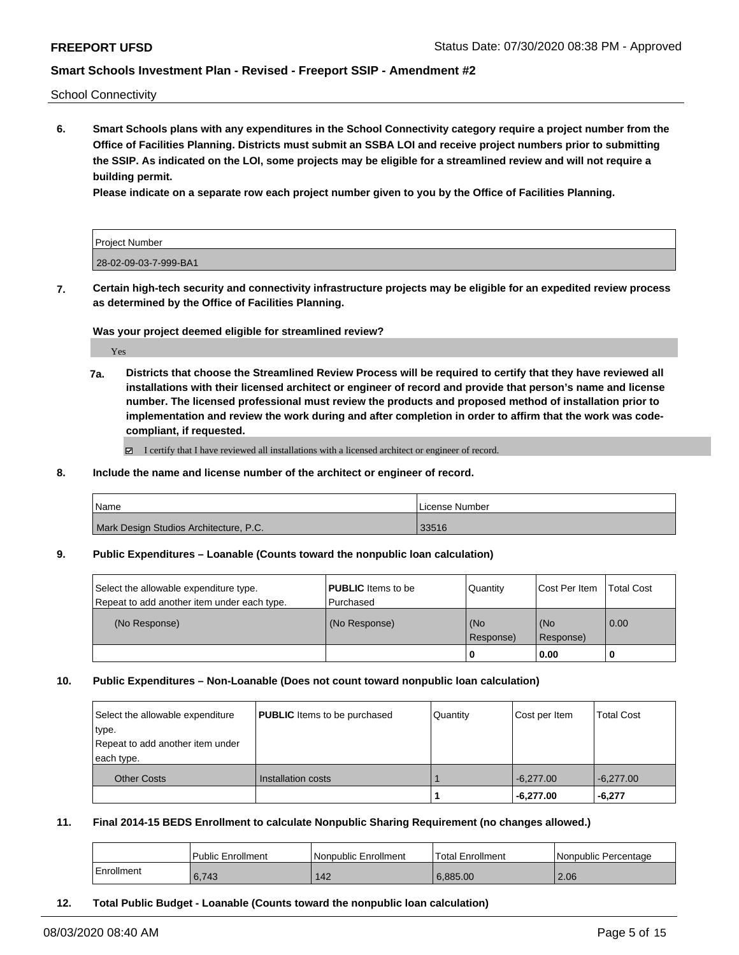School Connectivity

**6. Smart Schools plans with any expenditures in the School Connectivity category require a project number from the Office of Facilities Planning. Districts must submit an SSBA LOI and receive project numbers prior to submitting the SSIP. As indicated on the LOI, some projects may be eligible for a streamlined review and will not require a building permit.**

**Please indicate on a separate row each project number given to you by the Office of Facilities Planning.**

| <b>Project Number</b> |  |
|-----------------------|--|
| 28-02-09-03-7-999-BA1 |  |

**7. Certain high-tech security and connectivity infrastructure projects may be eligible for an expedited review process as determined by the Office of Facilities Planning.**

**Was your project deemed eligible for streamlined review?**

Yes

**7a. Districts that choose the Streamlined Review Process will be required to certify that they have reviewed all installations with their licensed architect or engineer of record and provide that person's name and license number. The licensed professional must review the products and proposed method of installation prior to implementation and review the work during and after completion in order to affirm that the work was codecompliant, if requested.**

■ I certify that I have reviewed all installations with a licensed architect or engineer of record.

**8. Include the name and license number of the architect or engineer of record.**

| <sup>'</sup> Name                      | l License Number |
|----------------------------------------|------------------|
| Mark Design Studios Architecture, P.C. | 33516            |

**9. Public Expenditures – Loanable (Counts toward the nonpublic loan calculation)**

| Select the allowable expenditure type.      | <b>PUBLIC</b> Items to be | <b>Quantity</b>      | Cost Per Item    | <b>Total Cost</b> |
|---------------------------------------------|---------------------------|----------------------|------------------|-------------------|
| Repeat to add another item under each type. | l Purchased               |                      |                  |                   |
| (No Response)                               | (No Response)             | l (No<br>l Response) | (No<br>Response) | $\overline{0.00}$ |
|                                             |                           |                      | 0.00             |                   |

#### **10. Public Expenditures – Non-Loanable (Does not count toward nonpublic loan calculation)**

| Select the allowable expenditure<br>type.<br>Repeat to add another item under<br>each type. | <b>PUBLIC</b> Items to be purchased | Quantity | Cost per Item | <b>Total Cost</b> |
|---------------------------------------------------------------------------------------------|-------------------------------------|----------|---------------|-------------------|
| <b>Other Costs</b>                                                                          | Installation costs                  |          | $-6.277.00$   | $-6.277.00$       |
|                                                                                             |                                     |          | $-6,277.00$   | $-6,277$          |

**11. Final 2014-15 BEDS Enrollment to calculate Nonpublic Sharing Requirement (no changes allowed.)**

|            | Public Enrollment | Nonpublic Enrollment | l Total Enrollment | INonpublic Percentage |
|------------|-------------------|----------------------|--------------------|-----------------------|
| Enrollment | 6,743             | 142                  | 6.885.00           | 2.06                  |

**12. Total Public Budget - Loanable (Counts toward the nonpublic loan calculation)**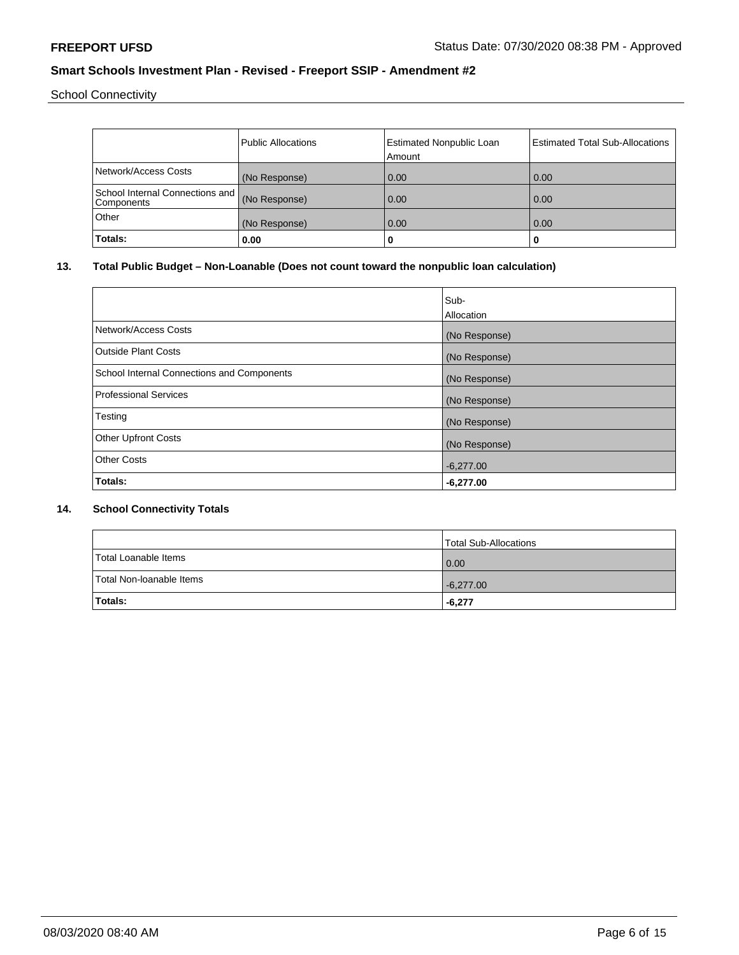School Connectivity

|                                               | <b>Public Allocations</b> | <b>Estimated Nonpublic Loan</b> | <b>Estimated Total Sub-Allocations</b> |
|-----------------------------------------------|---------------------------|---------------------------------|----------------------------------------|
|                                               |                           | Amount                          |                                        |
| Network/Access Costs                          | (No Response)             | 0.00                            | 0.00                                   |
| School Internal Connections and<br>Components | (No Response)             | 0.00                            | 0.00                                   |
| Other                                         | (No Response)             | 0.00                            | 0.00                                   |
| Totals:                                       | 0.00                      | 0                               | u                                      |

# **13. Total Public Budget – Non-Loanable (Does not count toward the nonpublic loan calculation)**

|                                            | Sub-          |
|--------------------------------------------|---------------|
|                                            | Allocation    |
| Network/Access Costs                       | (No Response) |
| Outside Plant Costs                        | (No Response) |
| School Internal Connections and Components | (No Response) |
| Professional Services                      | (No Response) |
| Testing                                    | (No Response) |
| <b>Other Upfront Costs</b>                 | (No Response) |
| <b>Other Costs</b>                         | $-6,277.00$   |
| Totals:                                    | $-6,277.00$   |

## **14. School Connectivity Totals**

|                          | Total Sub-Allocations |
|--------------------------|-----------------------|
| Total Loanable Items     | 0.00                  |
| Total Non-Ioanable Items | $-6,277.00$           |
| <b>Totals:</b>           | $-6,277$              |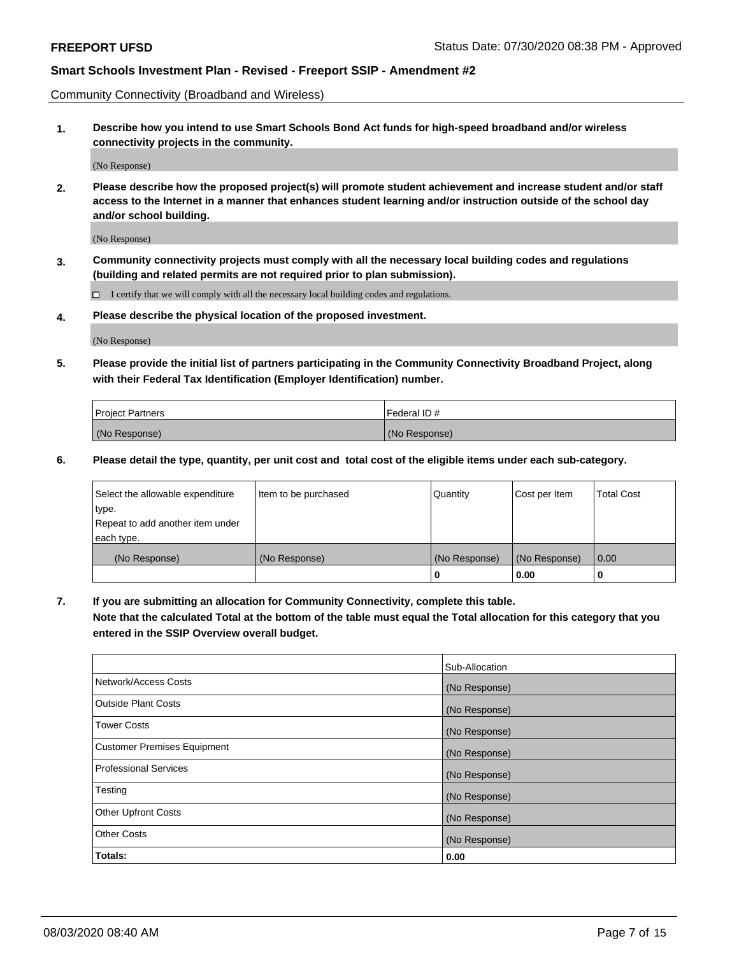Community Connectivity (Broadband and Wireless)

**1. Describe how you intend to use Smart Schools Bond Act funds for high-speed broadband and/or wireless connectivity projects in the community.**

(No Response)

**2. Please describe how the proposed project(s) will promote student achievement and increase student and/or staff access to the Internet in a manner that enhances student learning and/or instruction outside of the school day and/or school building.**

(No Response)

**3. Community connectivity projects must comply with all the necessary local building codes and regulations (building and related permits are not required prior to plan submission).**

 $\Box$  I certify that we will comply with all the necessary local building codes and regulations.

**4. Please describe the physical location of the proposed investment.**

(No Response)

**5. Please provide the initial list of partners participating in the Community Connectivity Broadband Project, along with their Federal Tax Identification (Employer Identification) number.**

| <b>Project Partners</b> | l Federal ID # |
|-------------------------|----------------|
| (No Response)           | (No Response)  |

**6. Please detail the type, quantity, per unit cost and total cost of the eligible items under each sub-category.**

| Select the allowable expenditure | Item to be purchased | Quantity      | Cost per Item | <b>Total Cost</b> |
|----------------------------------|----------------------|---------------|---------------|-------------------|
| type.                            |                      |               |               |                   |
| Repeat to add another item under |                      |               |               |                   |
| each type.                       |                      |               |               |                   |
| (No Response)                    | (No Response)        | (No Response) | (No Response) | 0.00              |
|                                  |                      | o             | 0.00          |                   |

**7. If you are submitting an allocation for Community Connectivity, complete this table.**

**Note that the calculated Total at the bottom of the table must equal the Total allocation for this category that you entered in the SSIP Overview overall budget.**

|                                    | Sub-Allocation |
|------------------------------------|----------------|
| Network/Access Costs               | (No Response)  |
| Outside Plant Costs                | (No Response)  |
| <b>Tower Costs</b>                 | (No Response)  |
| <b>Customer Premises Equipment</b> | (No Response)  |
| <b>Professional Services</b>       | (No Response)  |
| Testing                            | (No Response)  |
| <b>Other Upfront Costs</b>         | (No Response)  |
| <b>Other Costs</b>                 | (No Response)  |
| Totals:                            | 0.00           |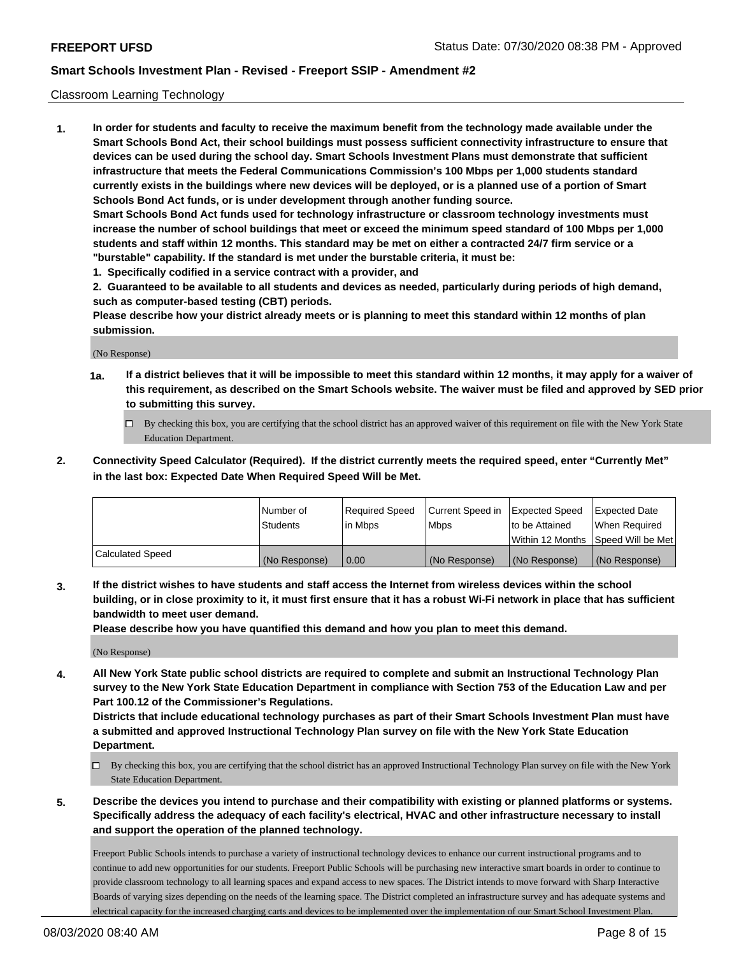#### Classroom Learning Technology

**1. In order for students and faculty to receive the maximum benefit from the technology made available under the Smart Schools Bond Act, their school buildings must possess sufficient connectivity infrastructure to ensure that devices can be used during the school day. Smart Schools Investment Plans must demonstrate that sufficient infrastructure that meets the Federal Communications Commission's 100 Mbps per 1,000 students standard currently exists in the buildings where new devices will be deployed, or is a planned use of a portion of Smart Schools Bond Act funds, or is under development through another funding source. Smart Schools Bond Act funds used for technology infrastructure or classroom technology investments must increase the number of school buildings that meet or exceed the minimum speed standard of 100 Mbps per 1,000 students and staff within 12 months. This standard may be met on either a contracted 24/7 firm service or a "burstable" capability. If the standard is met under the burstable criteria, it must be:**

**1. Specifically codified in a service contract with a provider, and**

**2. Guaranteed to be available to all students and devices as needed, particularly during periods of high demand, such as computer-based testing (CBT) periods.**

**Please describe how your district already meets or is planning to meet this standard within 12 months of plan submission.**

(No Response)

- **1a. If a district believes that it will be impossible to meet this standard within 12 months, it may apply for a waiver of this requirement, as described on the Smart Schools website. The waiver must be filed and approved by SED prior to submitting this survey.**
	- By checking this box, you are certifying that the school district has an approved waiver of this requirement on file with the New York State Education Department.
- **2. Connectivity Speed Calculator (Required). If the district currently meets the required speed, enter "Currently Met" in the last box: Expected Date When Required Speed Will be Met.**

|                  | l Number of     | Required Speed | Current Speed in | <b>Expected Speed</b> | <b>Expected Date</b>                |
|------------------|-----------------|----------------|------------------|-----------------------|-------------------------------------|
|                  | <b>Students</b> | l in Mbps      | l Mbps           | to be Attained        | When Required                       |
|                  |                 |                |                  |                       | Within 12 Months  Speed Will be Met |
| Calculated Speed | (No Response)   | 0.00           | (No Response)    | l (No Response)       | (No Response)                       |

**3. If the district wishes to have students and staff access the Internet from wireless devices within the school building, or in close proximity to it, it must first ensure that it has a robust Wi-Fi network in place that has sufficient bandwidth to meet user demand.**

**Please describe how you have quantified this demand and how you plan to meet this demand.**

(No Response)

**4. All New York State public school districts are required to complete and submit an Instructional Technology Plan survey to the New York State Education Department in compliance with Section 753 of the Education Law and per Part 100.12 of the Commissioner's Regulations.**

**Districts that include educational technology purchases as part of their Smart Schools Investment Plan must have a submitted and approved Instructional Technology Plan survey on file with the New York State Education Department.**

- By checking this box, you are certifying that the school district has an approved Instructional Technology Plan survey on file with the New York State Education Department.
- **5. Describe the devices you intend to purchase and their compatibility with existing or planned platforms or systems. Specifically address the adequacy of each facility's electrical, HVAC and other infrastructure necessary to install and support the operation of the planned technology.**

Freeport Public Schools intends to purchase a variety of instructional technology devices to enhance our current instructional programs and to continue to add new opportunities for our students. Freeport Public Schools will be purchasing new interactive smart boards in order to continue to provide classroom technology to all learning spaces and expand access to new spaces. The District intends to move forward with Sharp Interactive Boards of varying sizes depending on the needs of the learning space. The District completed an infrastructure survey and has adequate systems and electrical capacity for the increased charging carts and devices to be implemented over the implementation of our Smart School Investment Plan.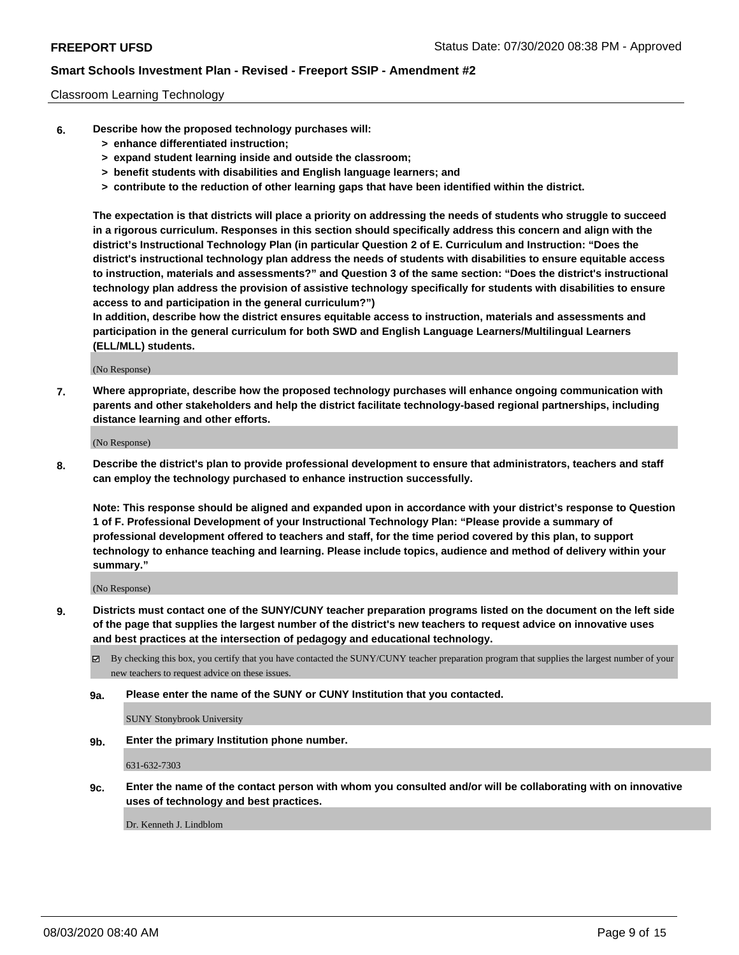#### Classroom Learning Technology

- **6. Describe how the proposed technology purchases will:**
	- **> enhance differentiated instruction;**
	- **> expand student learning inside and outside the classroom;**
	- **> benefit students with disabilities and English language learners; and**
	- **> contribute to the reduction of other learning gaps that have been identified within the district.**

**The expectation is that districts will place a priority on addressing the needs of students who struggle to succeed in a rigorous curriculum. Responses in this section should specifically address this concern and align with the district's Instructional Technology Plan (in particular Question 2 of E. Curriculum and Instruction: "Does the district's instructional technology plan address the needs of students with disabilities to ensure equitable access to instruction, materials and assessments?" and Question 3 of the same section: "Does the district's instructional technology plan address the provision of assistive technology specifically for students with disabilities to ensure access to and participation in the general curriculum?")**

**In addition, describe how the district ensures equitable access to instruction, materials and assessments and participation in the general curriculum for both SWD and English Language Learners/Multilingual Learners (ELL/MLL) students.**

(No Response)

**7. Where appropriate, describe how the proposed technology purchases will enhance ongoing communication with parents and other stakeholders and help the district facilitate technology-based regional partnerships, including distance learning and other efforts.**

(No Response)

**8. Describe the district's plan to provide professional development to ensure that administrators, teachers and staff can employ the technology purchased to enhance instruction successfully.**

**Note: This response should be aligned and expanded upon in accordance with your district's response to Question 1 of F. Professional Development of your Instructional Technology Plan: "Please provide a summary of professional development offered to teachers and staff, for the time period covered by this plan, to support technology to enhance teaching and learning. Please include topics, audience and method of delivery within your summary."**

(No Response)

- **9. Districts must contact one of the SUNY/CUNY teacher preparation programs listed on the document on the left side of the page that supplies the largest number of the district's new teachers to request advice on innovative uses and best practices at the intersection of pedagogy and educational technology.**
	- $\boxtimes$  By checking this box, you certify that you have contacted the SUNY/CUNY teacher preparation program that supplies the largest number of your new teachers to request advice on these issues.
	- **9a. Please enter the name of the SUNY or CUNY Institution that you contacted.**

SUNY Stonybrook University

**9b. Enter the primary Institution phone number.**

631-632-7303

**9c. Enter the name of the contact person with whom you consulted and/or will be collaborating with on innovative uses of technology and best practices.**

Dr. Kenneth J. Lindblom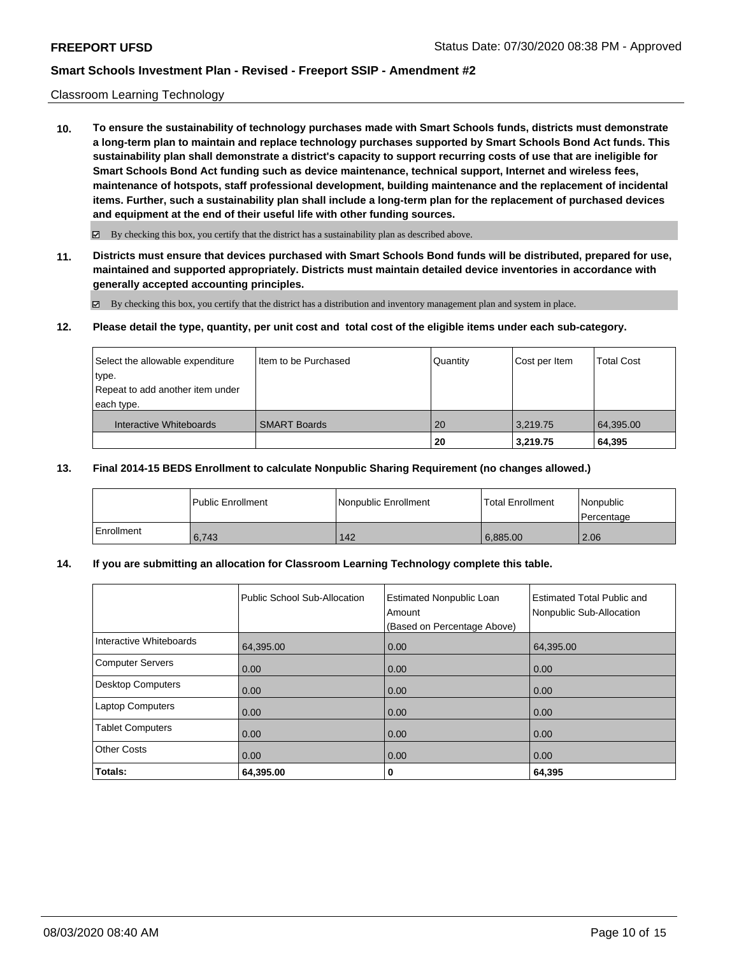#### Classroom Learning Technology

**10. To ensure the sustainability of technology purchases made with Smart Schools funds, districts must demonstrate a long-term plan to maintain and replace technology purchases supported by Smart Schools Bond Act funds. This sustainability plan shall demonstrate a district's capacity to support recurring costs of use that are ineligible for Smart Schools Bond Act funding such as device maintenance, technical support, Internet and wireless fees, maintenance of hotspots, staff professional development, building maintenance and the replacement of incidental items. Further, such a sustainability plan shall include a long-term plan for the replacement of purchased devices and equipment at the end of their useful life with other funding sources.**

 $\boxtimes$  By checking this box, you certify that the district has a sustainability plan as described above.

**11. Districts must ensure that devices purchased with Smart Schools Bond funds will be distributed, prepared for use, maintained and supported appropriately. Districts must maintain detailed device inventories in accordance with generally accepted accounting principles.**

By checking this box, you certify that the district has a distribution and inventory management plan and system in place.

#### **12. Please detail the type, quantity, per unit cost and total cost of the eligible items under each sub-category.**

| Select the allowable expenditure<br>type.<br>Repeat to add another item under<br>each type. | I Item to be Purchased | Quantity | Cost per Item | <b>Total Cost</b> |
|---------------------------------------------------------------------------------------------|------------------------|----------|---------------|-------------------|
| Interactive Whiteboards                                                                     | <b>SMART Boards</b>    | 20       | 3,219.75      | 64,395.00         |
|                                                                                             |                        | 20       | 3,219.75      | 64,395            |

#### **13. Final 2014-15 BEDS Enrollment to calculate Nonpublic Sharing Requirement (no changes allowed.)**

|                   | <b>Public Enrollment</b> | Nonpublic Enrollment | Total Enrollment | Nonpublic<br>l Percentage |
|-------------------|--------------------------|----------------------|------------------|---------------------------|
| <b>Enrollment</b> | 6.743                    | 142                  | 6.885.00         | 2.06                      |

### **14. If you are submitting an allocation for Classroom Learning Technology complete this table.**

|                         | Public School Sub-Allocation | <b>Estimated Nonpublic Loan</b><br>Amount<br>(Based on Percentage Above) | Estimated Total Public and<br>Nonpublic Sub-Allocation |
|-------------------------|------------------------------|--------------------------------------------------------------------------|--------------------------------------------------------|
| Interactive Whiteboards | 64,395.00                    | 0.00                                                                     | 64,395.00                                              |
| Computer Servers        | 0.00                         | 0.00                                                                     | 0.00                                                   |
| Desktop Computers       | 0.00                         | 0.00                                                                     | 0.00                                                   |
| <b>Laptop Computers</b> | 0.00                         | 0.00                                                                     | 0.00                                                   |
| <b>Tablet Computers</b> | 0.00                         | 0.00                                                                     | 0.00                                                   |
| <b>Other Costs</b>      | 0.00                         | 0.00                                                                     | 0.00                                                   |
| Totals:                 | 64,395.00                    | 0                                                                        | 64,395                                                 |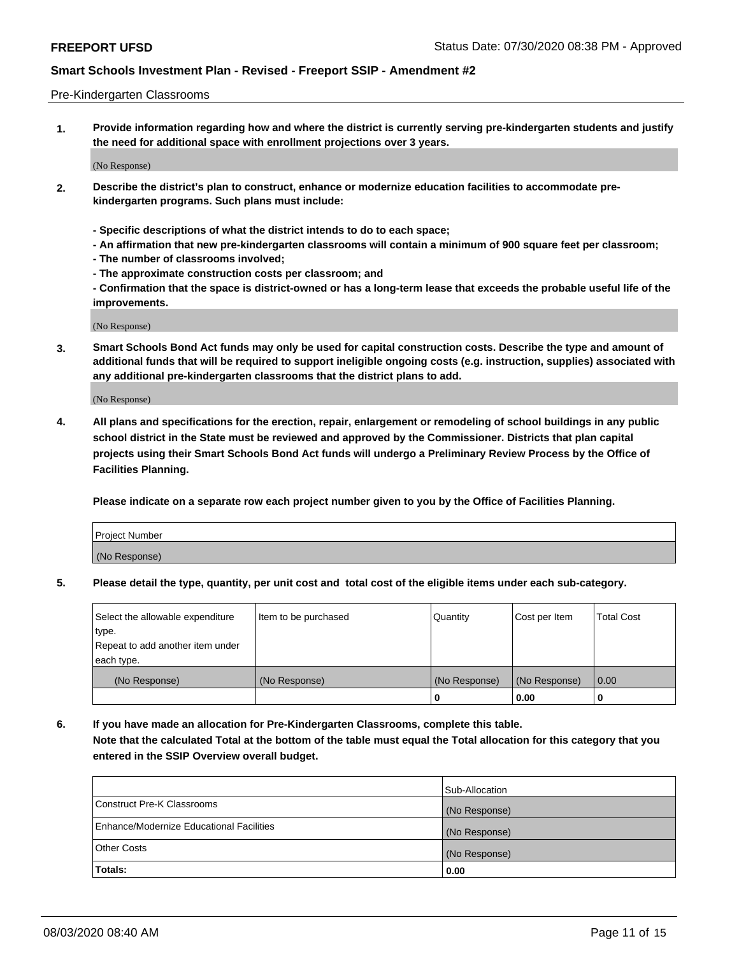#### Pre-Kindergarten Classrooms

**1. Provide information regarding how and where the district is currently serving pre-kindergarten students and justify the need for additional space with enrollment projections over 3 years.**

(No Response)

- **2. Describe the district's plan to construct, enhance or modernize education facilities to accommodate prekindergarten programs. Such plans must include:**
	- **Specific descriptions of what the district intends to do to each space;**
	- **An affirmation that new pre-kindergarten classrooms will contain a minimum of 900 square feet per classroom;**
	- **The number of classrooms involved;**
	- **The approximate construction costs per classroom; and**
	- **Confirmation that the space is district-owned or has a long-term lease that exceeds the probable useful life of the improvements.**

(No Response)

**3. Smart Schools Bond Act funds may only be used for capital construction costs. Describe the type and amount of additional funds that will be required to support ineligible ongoing costs (e.g. instruction, supplies) associated with any additional pre-kindergarten classrooms that the district plans to add.**

(No Response)

**4. All plans and specifications for the erection, repair, enlargement or remodeling of school buildings in any public school district in the State must be reviewed and approved by the Commissioner. Districts that plan capital projects using their Smart Schools Bond Act funds will undergo a Preliminary Review Process by the Office of Facilities Planning.**

**Please indicate on a separate row each project number given to you by the Office of Facilities Planning.**

| Project Number |  |
|----------------|--|
| (No Response)  |  |
|                |  |

**5. Please detail the type, quantity, per unit cost and total cost of the eligible items under each sub-category.**

| Select the allowable expenditure | Item to be purchased | Quantity      | Cost per Item | <b>Total Cost</b> |
|----------------------------------|----------------------|---------------|---------------|-------------------|
| type.                            |                      |               |               |                   |
| Repeat to add another item under |                      |               |               |                   |
| each type.                       |                      |               |               |                   |
| (No Response)                    | (No Response)        | (No Response) | (No Response) | 0.00              |
|                                  |                      | U             | 0.00          |                   |

**6. If you have made an allocation for Pre-Kindergarten Classrooms, complete this table. Note that the calculated Total at the bottom of the table must equal the Total allocation for this category that you entered in the SSIP Overview overall budget.**

|                                          | Sub-Allocation |
|------------------------------------------|----------------|
| Construct Pre-K Classrooms               | (No Response)  |
| Enhance/Modernize Educational Facilities | (No Response)  |
| <b>Other Costs</b>                       | (No Response)  |
| Totals:                                  | 0.00           |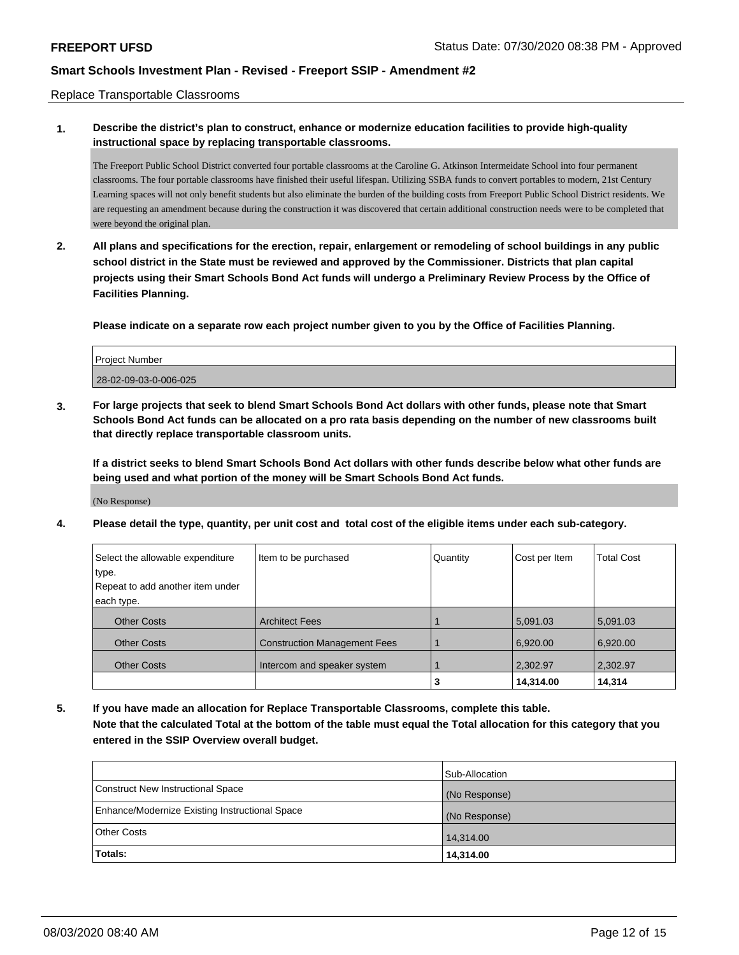#### Replace Transportable Classrooms

## **1. Describe the district's plan to construct, enhance or modernize education facilities to provide high-quality instructional space by replacing transportable classrooms.**

The Freeport Public School District converted four portable classrooms at the Caroline G. Atkinson Intermeidate School into four permanent classrooms. The four portable classrooms have finished their useful lifespan. Utilizing SSBA funds to convert portables to modern, 21st Century Learning spaces will not only benefit students but also eliminate the burden of the building costs from Freeport Public School District residents. We are requesting an amendment because during the construction it was discovered that certain additional construction needs were to be completed that were beyond the original plan.

**2. All plans and specifications for the erection, repair, enlargement or remodeling of school buildings in any public school district in the State must be reviewed and approved by the Commissioner. Districts that plan capital projects using their Smart Schools Bond Act funds will undergo a Preliminary Review Process by the Office of Facilities Planning.**

**Please indicate on a separate row each project number given to you by the Office of Facilities Planning.**

| <b>Project Number</b> |  |
|-----------------------|--|
| 28-02-09-03-0-006-025 |  |

**3. For large projects that seek to blend Smart Schools Bond Act dollars with other funds, please note that Smart Schools Bond Act funds can be allocated on a pro rata basis depending on the number of new classrooms built that directly replace transportable classroom units.**

**If a district seeks to blend Smart Schools Bond Act dollars with other funds describe below what other funds are being used and what portion of the money will be Smart Schools Bond Act funds.**

(No Response)

**4. Please detail the type, quantity, per unit cost and total cost of the eligible items under each sub-category.**

| Select the allowable expenditure                  | Item to be purchased                | Quantity | Cost per Item | <b>Total Cost</b> |
|---------------------------------------------------|-------------------------------------|----------|---------------|-------------------|
| type.                                             |                                     |          |               |                   |
| Repeat to add another item under                  |                                     |          |               |                   |
| each type.                                        |                                     |          |               |                   |
| <b>Other Costs</b>                                | <b>Architect Fees</b>               |          | 5,091.03      | 5,091.03          |
| <b>Other Costs</b>                                | <b>Construction Management Fees</b> |          | 6,920.00      | 6,920.00          |
| <b>Other Costs</b><br>Intercom and speaker system |                                     |          | 2,302.97      | 2,302.97          |
|                                                   |                                     | 3        | 14,314.00     | 14,314            |

**5. If you have made an allocation for Replace Transportable Classrooms, complete this table. Note that the calculated Total at the bottom of the table must equal the Total allocation for this category that you entered in the SSIP Overview overall budget.**

|                                                | Sub-Allocation |
|------------------------------------------------|----------------|
| Construct New Instructional Space              | (No Response)  |
| Enhance/Modernize Existing Instructional Space | (No Response)  |
| <b>Other Costs</b>                             | 14,314.00      |
| Totals:                                        | 14,314.00      |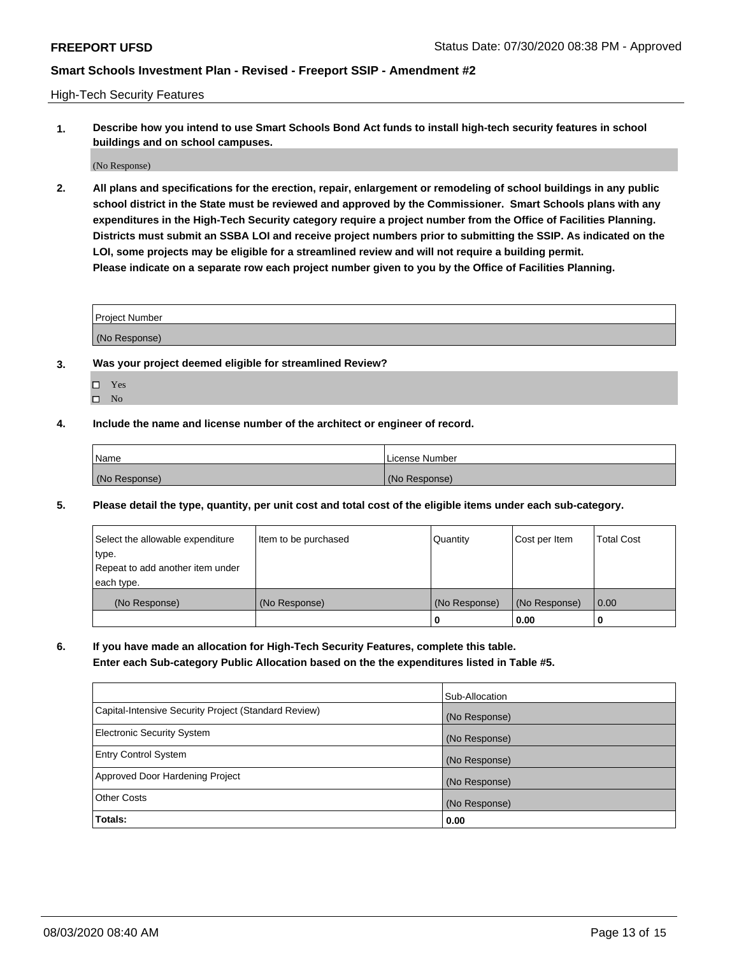High-Tech Security Features

**1. Describe how you intend to use Smart Schools Bond Act funds to install high-tech security features in school buildings and on school campuses.**

(No Response)

**2. All plans and specifications for the erection, repair, enlargement or remodeling of school buildings in any public school district in the State must be reviewed and approved by the Commissioner. Smart Schools plans with any expenditures in the High-Tech Security category require a project number from the Office of Facilities Planning. Districts must submit an SSBA LOI and receive project numbers prior to submitting the SSIP. As indicated on the LOI, some projects may be eligible for a streamlined review and will not require a building permit. Please indicate on a separate row each project number given to you by the Office of Facilities Planning.**

| <b>Project Number</b> |  |
|-----------------------|--|
| (No Response)         |  |

- **3. Was your project deemed eligible for streamlined Review?**
	- Yes
	- $\hfill \square$  No
- **4. Include the name and license number of the architect or engineer of record.**

| Name          | License Number |
|---------------|----------------|
| (No Response) | (No Response)  |

**5. Please detail the type, quantity, per unit cost and total cost of the eligible items under each sub-category.**

| Select the allowable expenditure | Item to be purchased | Quantity      | Cost per Item | <b>Total Cost</b> |
|----------------------------------|----------------------|---------------|---------------|-------------------|
| 'type.                           |                      |               |               |                   |
| Repeat to add another item under |                      |               |               |                   |
| each type.                       |                      |               |               |                   |
| (No Response)                    | (No Response)        | (No Response) | (No Response) | 0.00              |
|                                  |                      | U             | 0.00          |                   |

**6. If you have made an allocation for High-Tech Security Features, complete this table.**

**Enter each Sub-category Public Allocation based on the the expenditures listed in Table #5.**

|                                                      | Sub-Allocation |
|------------------------------------------------------|----------------|
| Capital-Intensive Security Project (Standard Review) | (No Response)  |
| <b>Electronic Security System</b>                    | (No Response)  |
| <b>Entry Control System</b>                          | (No Response)  |
| Approved Door Hardening Project                      | (No Response)  |
| <b>Other Costs</b>                                   | (No Response)  |
| Totals:                                              | 0.00           |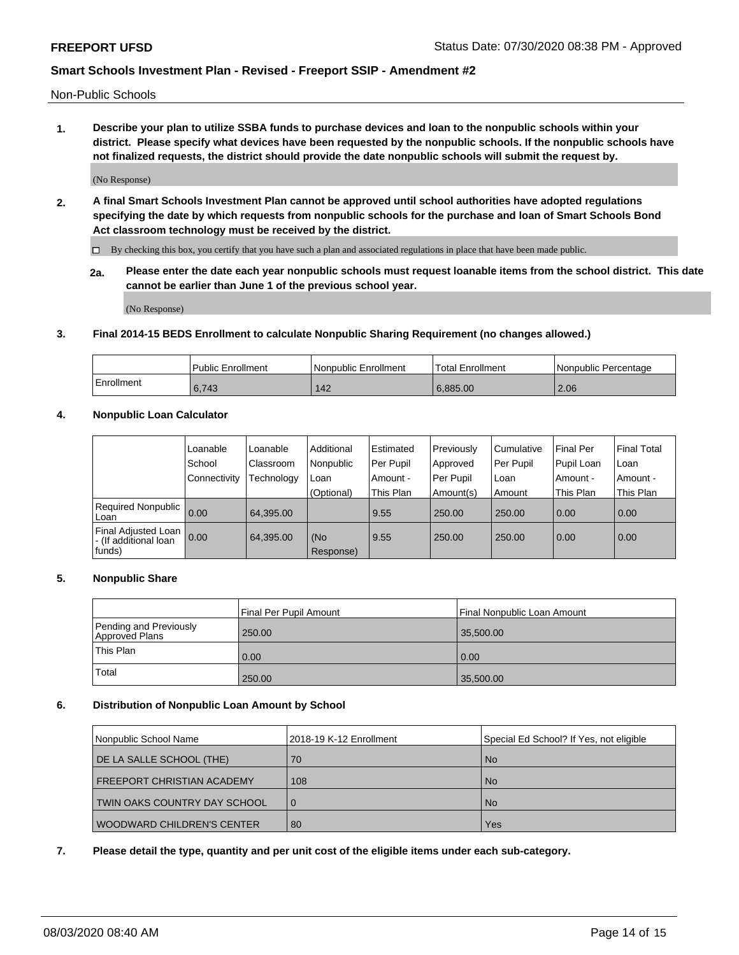Non-Public Schools

**1. Describe your plan to utilize SSBA funds to purchase devices and loan to the nonpublic schools within your district. Please specify what devices have been requested by the nonpublic schools. If the nonpublic schools have not finalized requests, the district should provide the date nonpublic schools will submit the request by.**

(No Response)

**2. A final Smart Schools Investment Plan cannot be approved until school authorities have adopted regulations specifying the date by which requests from nonpublic schools for the purchase and loan of Smart Schools Bond Act classroom technology must be received by the district.**

By checking this box, you certify that you have such a plan and associated regulations in place that have been made public.

**2a. Please enter the date each year nonpublic schools must request loanable items from the school district. This date cannot be earlier than June 1 of the previous school year.**

(No Response)

### **3. Final 2014-15 BEDS Enrollment to calculate Nonpublic Sharing Requirement (no changes allowed.)**

|            | Public Enrollment | Nonpublic Enrollment | 'Total Enrollment | l Nonpublic Percentage |
|------------|-------------------|----------------------|-------------------|------------------------|
| Enrollment | 6,743             | 142                  | 6.885.00          | 2.06                   |

### **4. Nonpublic Loan Calculator**

|                                                         | Loanable     | Loanable   | Additional       | Estimated | Previously | Cumulative | Final Per  | <b>Final Total</b> |
|---------------------------------------------------------|--------------|------------|------------------|-----------|------------|------------|------------|--------------------|
|                                                         | School       | Classroom  | Nonpublic        | Per Pupil | Approved   | Per Pupil  | Pupil Loan | Loan               |
|                                                         | Connectivity | Technology | Loan             | Amount -  | Per Pupil  | Loan       | Amount -   | Amount -           |
|                                                         |              |            | (Optional)       | This Plan | Amount(s)  | Amount     | This Plan  | This Plan          |
| Required Nonpublic  <br>Loan                            | 0.00         | 64.395.00  |                  | 9.55      | 250.00     | 250.00     | 0.00       | 0.00               |
| Final Adjusted Loan<br>I- (If additional loan<br>funds) | 0.00         | 64.395.00  | (No<br>Response) | 9.55      | 250.00     | 250.00     | 0.00       | 0.00               |

### **5. Nonpublic Share**

|                                          | Final Per Pupil Amount | Final Nonpublic Loan Amount |
|------------------------------------------|------------------------|-----------------------------|
| Pending and Previously<br>Approved Plans | 250.00                 | 35,500.00                   |
| <sup>1</sup> This Plan                   | 0.00                   | 0.00                        |
| Total                                    | 250.00                 | 35,500.00                   |

### **6. Distribution of Nonpublic Loan Amount by School**

| Nonpublic School Name               | 2018-19 K-12 Enrollment | Special Ed School? If Yes, not eligible |
|-------------------------------------|-------------------------|-----------------------------------------|
| DE LA SALLE SCHOOL (THE)            | 70                      | <b>No</b>                               |
| <b>FREEPORT CHRISTIAN ACADEMY</b>   | 108                     | <b>No</b>                               |
| <b>TWIN OAKS COUNTRY DAY SCHOOL</b> | l 0                     | <b>No</b>                               |
| <b>WOODWARD CHILDREN'S CENTER</b>   | 80                      | Yes                                     |

### **7. Please detail the type, quantity and per unit cost of the eligible items under each sub-category.**